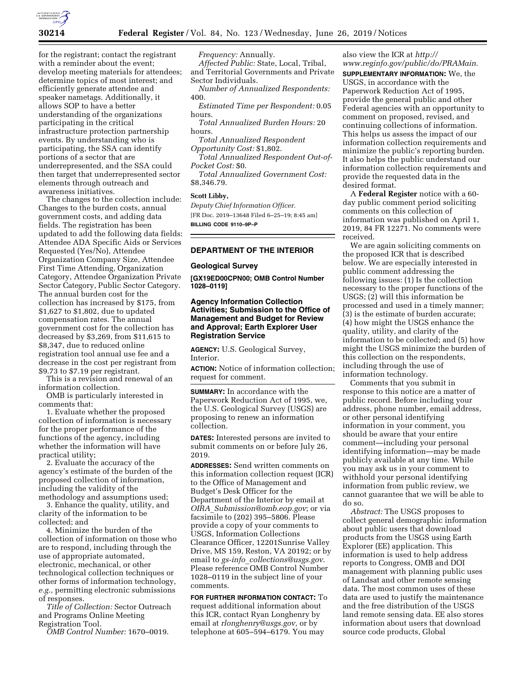

for the registrant; contact the registrant with a reminder about the event; develop meeting materials for attendees; determine topics of most interest; and efficiently generate attendee and speaker nametags. Additionally, it allows SOP to have a better understanding of the organizations participating in the critical infrastructure protection partnership events. By understanding who is participating, the SSA can identify portions of a sector that are underrepresented, and the SSA could then target that underrepresented sector elements through outreach and awareness initiatives.

The changes to the collection include: Changes to the burden costs, annual government costs, and adding data fields. The registration has been updated to add the following data fields: Attendee ADA Specific Aids or Services Requested (Yes/No), Attendee Organization Company Size, Attendee First Time Attending, Organization Category, Attendee Organization Private Sector Category, Public Sector Category. The annual burden cost for the collection has increased by \$175, from \$1,627 to \$1,802, due to updated compensation rates. The annual government cost for the collection has decreased by \$3,269, from \$11,615 to \$8,347, due to reduced online registration tool annual use fee and a decrease in the cost per registrant from \$9.73 to \$7.19 per registrant.

This is a revision and renewal of an information collection.

OMB is particularly interested in comments that:

1. Evaluate whether the proposed collection of information is necessary for the proper performance of the functions of the agency, including whether the information will have practical utility;

2. Evaluate the accuracy of the agency's estimate of the burden of the proposed collection of information, including the validity of the methodology and assumptions used;

3. Enhance the quality, utility, and clarity of the information to be collected; and

4. Minimize the burden of the collection of information on those who are to respond, including through the use of appropriate automated, electronic, mechanical, or other technological collection techniques or other forms of information technology, *e.g.,* permitting electronic submissions of responses.

*Title of Collection:* Sector Outreach and Programs Online Meeting Registration Tool.

*OMB Control Number:* 1670–0019.

*Frequency:* Annually.

*Affected Public:* State, Local, Tribal, and Territorial Governments and Private Sector Individuals.

*Number of Annualized Respondents:*  400.

*Estimated Time per Respondent:* 0.05 hours.

*Total Annualized Burden Hours:* 20 hours.

*Total Annualized Respondent Opportunity Cost:* \$1,802.

*Total Annualized Respondent Out-of-Pocket Cost:* \$0.

*Total Annualized Government Cost:*  \$8,346.79.

### **Scott Libby,**

*Deputy Chief Information Officer.*  [FR Doc. 2019–13648 Filed 6–25–19; 8:45 am] **BILLING CODE 9110–9P–P** 

# **DEPARTMENT OF THE INTERIOR**

#### **Geological Survey**

**[GX19ED00CPN00; OMB Control Number 1028–0119]** 

## **Agency Information Collection Activities; Submission to the Office of Management and Budget for Review and Approval; Earth Explorer User Registration Service**

**AGENCY:** U.S. Geological Survey, Interior.

**ACTION:** Notice of information collection; request for comment.

**SUMMARY:** In accordance with the Paperwork Reduction Act of 1995, we, the U.S. Geological Survey (USGS) are proposing to renew an information collection.

**DATES:** Interested persons are invited to submit comments on or before July 26, 2019.

**ADDRESSES:** Send written comments on this information collection request (ICR) to the Office of Management and Budget's Desk Officer for the Department of the Interior by email at *OIRA*\_*[Submission@omb.eop.gov](mailto:OIRA_Submission@omb.eop.gov)*; or via facsimile to (202) 395–5806. Please provide a copy of your comments to USGS, Information Collections Clearance Officer, 12201Sunrise Valley Drive, MS 159, Reston, VA 20192; or by email to *gs-info*\_*[collections@usgs.gov](mailto:gs-info_collections@usgs.gov)*. Please reference OMB Control Number 1028–0119 in the subject line of your comments.

**FOR FURTHER INFORMATION CONTACT:** To request additional information about this ICR, contact Ryan Longhenry by email at *[rlonghenry@usgs.gov,](mailto:rlonghenry@usgs.gov)* or by telephone at 605–594–6179. You may

# also view the ICR at *[http://](http://www.reginfo.gov/public/do/PRAMain) [www.reginfo.gov/public/do/PRAMain](http://www.reginfo.gov/public/do/PRAMain)*.

**SUPPLEMENTARY INFORMATION:** We, the USGS, in accordance with the Paperwork Reduction Act of 1995, provide the general public and other Federal agencies with an opportunity to comment on proposed, revised, and continuing collections of information. This helps us assess the impact of our information collection requirements and minimize the public's reporting burden. It also helps the public understand our information collection requirements and provide the requested data in the desired format.

A **Federal Register** notice with a 60 day public comment period soliciting comments on this collection of information was published on April 1, 2019, 84 FR 12271. No comments were received.

We are again soliciting comments on the proposed ICR that is described below. We are especially interested in public comment addressing the following issues: (1) Is the collection necessary to the proper functions of the USGS; (2) will this information be processed and used in a timely manner; (3) is the estimate of burden accurate; (4) how might the USGS enhance the quality, utility, and clarity of the information to be collected; and (5) how might the USGS minimize the burden of this collection on the respondents, including through the use of information technology.

Comments that you submit in response to this notice are a matter of public record. Before including your address, phone number, email address, or other personal identifying information in your comment, you should be aware that your entire comment—including your personal identifying information—may be made publicly available at any time. While you may ask us in your comment to withhold your personal identifying information from public review, we cannot guarantee that we will be able to do so.

*Abstract:* The USGS proposes to collect general demographic information about public users that download products from the USGS using Earth Explorer (EE) application. This information is used to help address reports to Congress, OMB and DOI management with planning public uses of Landsat and other remote sensing data. The most common uses of these data are used to justify the maintenance and the free distribution of the USGS land remote sensing data. EE also stores information about users that download source code products, Global